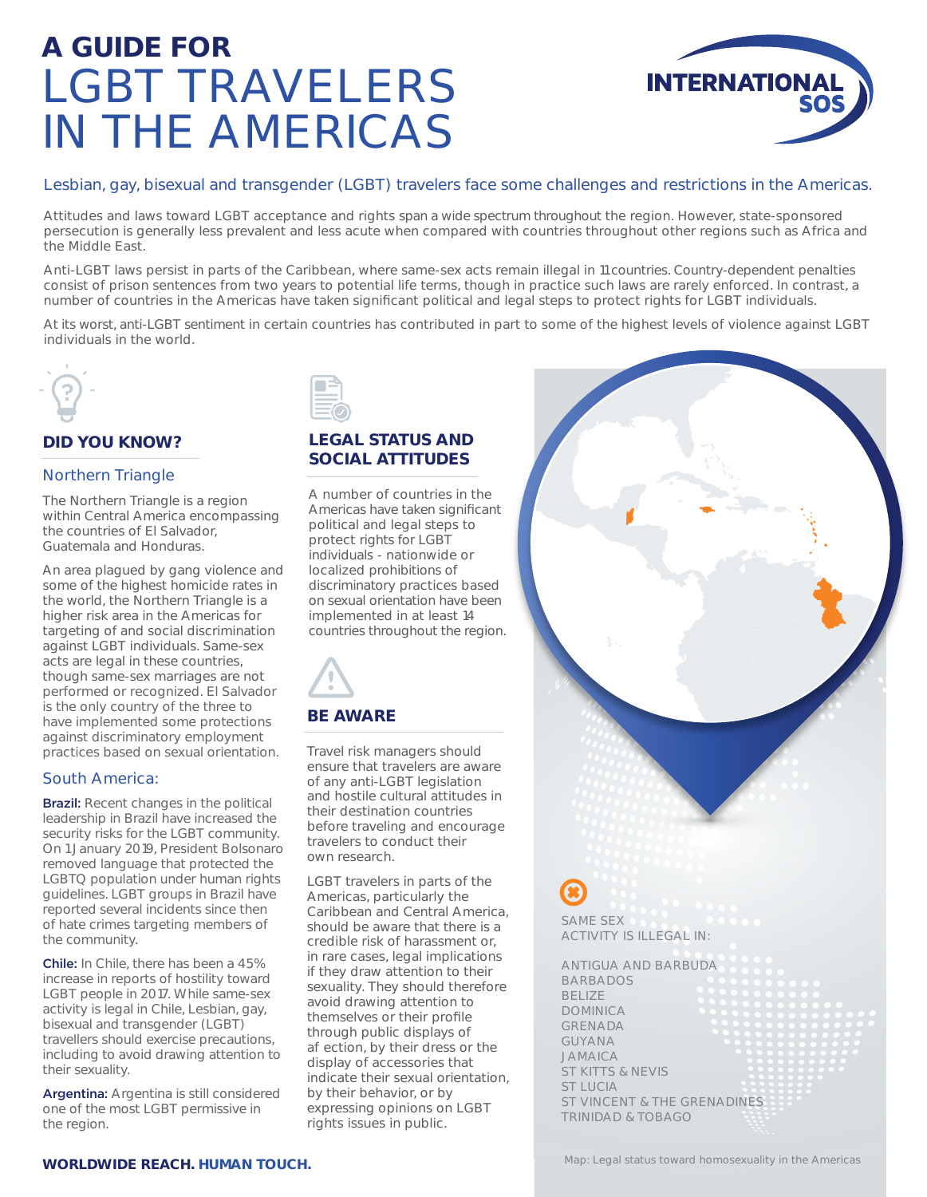# **A GUIDE FOR** LGBT TRAVELERS IN THE AMERICAS



# Lesbian, gay, bisexual and transgender (LGBT) travelers face some challenges and restrictions in the Americas.

Attitudes and laws toward LGBT acceptance and rights span a wide spectrum throughout the region. However, state-sponsored persecution is generally less prevalent and less acute when compared with countries throughout other regions such as Africa and the Middle East.

Anti-LGBT laws persist in parts of the Caribbean, where same-sex acts remain illegal in 11 countries. Country-dependent penalties consist of prison sentences from two years to potential life terms, though in practice such laws are rarely enforced. In contrast, a number of countries in the Americas have taken significant political and legal steps to protect rights for LGBT individuals.

At its worst, anti-LGBT sentiment in certain countries has contributed in part to some of the highest levels of violence against LGBT individuals in the world.



# **DID YOU KNOW?**

### Northern Triangle

The Northern Triangle is a region within Central America encompassing the countries of El Salvador, Guatemala and Honduras.

An area plagued by gang violence and some of the highest homicide rates in the world, the Northern Triangle is a higher risk area in the Americas for targeting of and social discrimination against LGBT individuals. Same-sex acts are legal in these countries, though same-sex marriages are not performed or recognized. El Salvador is the only country of the three to have implemented some protections against discriminatory employment practices based on sexual orientation.

#### South America:

**Brazil:** Recent changes in the political leadership in Brazil have increased the security risks for the LGBT community. On 1 January 2019, President Bolsonaro removed language that protected the LGBTQ population under human rights guidelines. LGBT groups in Brazil have reported several incidents since then of hate crimes targeting members of the community.

Chile: In Chile, there has been a 45% increase in reports of hostility toward LGBT people in 2017. While same-sex activity is legal in Chile, Lesbian, gay, bisexual and transgender (LGBT) travellers should exercise precautions, including to avoid drawing attention to their sexuality.

Argentina: Argentina is still considered one of the most LGBT permissive in the region.

| the contract of the contract of the contract of |  |
|-------------------------------------------------|--|
|                                                 |  |
|                                                 |  |
|                                                 |  |

# **LEGAL STATUS AND SOCIAL ATTITUDES**

A number of countries in the Americas have taken significant political and legal steps to protect rights for LGBT individuals - nationwide or localized prohibitions of discriminatory practices based on sexual orientation have been implemented in at least 14 countries throughout the region.



# **BE AWARE**

Travel risk managers should ensure that travelers are aware of any anti-LGBT legislation and hostile cultural attitudes in their destination countries before traveling and encourage travelers to conduct their own research.

LGBT travelers in parts of the Americas, particularly the Caribbean and Central America, should be aware that there is a credible risk of harassment or, in rare cases, legal implications if they draw attention to their sexuality. They should therefore avoid drawing attention to themselves or their profile through public displays of a ection, by their dress or the display of accessories that indicate their sexual orientation, by their behavior, or by expressing opinions on LGBT rights issues in public.

SAME SEX ACTIVITY IS ILLEGAL IN:

ANTIGUA AND BARBUDA BARBADOS BELIZE DOMINICA GRENADA GUYANA JAMAICA ST KITTS & NEVIS ST LUCIA ST VINCENT & THE GRENADINES TRINIDAD & TOBAGO